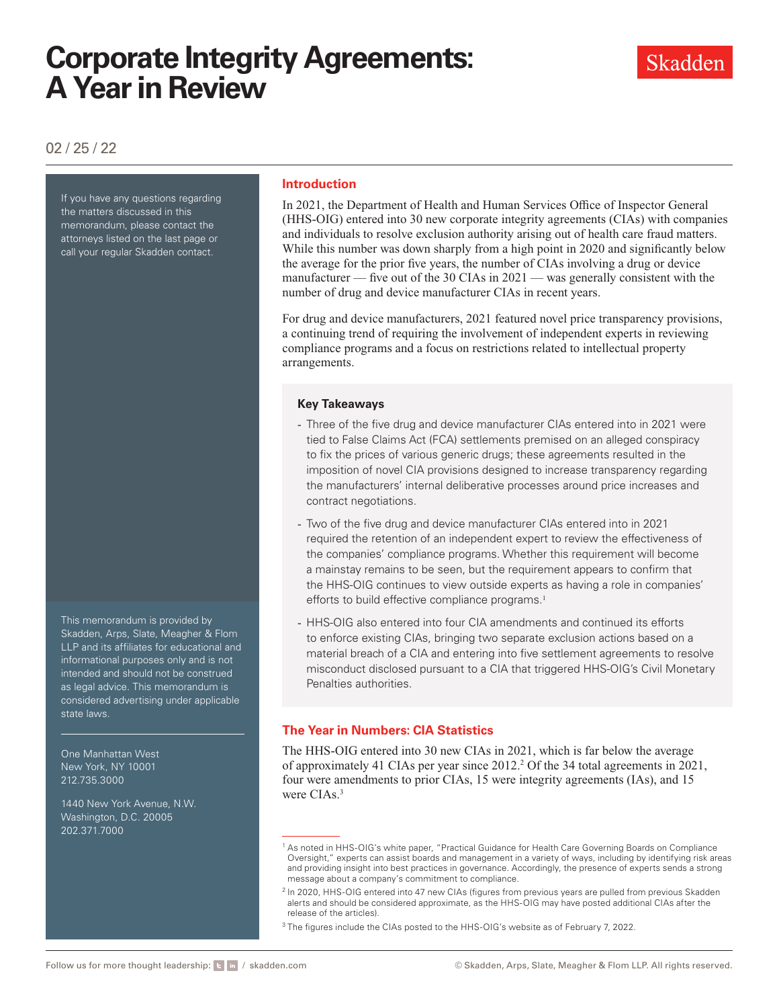### 02 / 25 / 22

If you have any questions regarding the matters discussed in this memorandum, please contact the attorneys listed on the last page or call your regular Skadden contact.

This memorandum is provided by Skadden, Arps, Slate, Meagher & Flom LLP and its affiliates for educational and informational purposes only and is not intended and should not be construed as legal advice. This memorandum is considered advertising under applicable state laws.

One Manhattan West New York, NY 10001 212.735.3000

1440 New York Avenue, N.W. Washington, D.C. 20005 202.371.7000

#### **Introduction**

In 2021, the Department of Health and Human Services Office of Inspector General (HHS-OIG) entered into 30 new corporate integrity agreements (CIAs) with companies and individuals to resolve exclusion authority arising out of health care fraud matters. While this number was down sharply from a high point in 2020 and significantly below the average for the prior five years, the number of CIAs involving a drug or device manufacturer — five out of the 30 CIAs in 2021 — was generally consistent with the number of drug and device manufacturer CIAs in recent years.

For drug and device manufacturers, 2021 featured novel price transparency provisions, a continuing trend of requiring the involvement of independent experts in reviewing compliance programs and a focus on restrictions related to intellectual property arrangements.

#### **Key Takeaways**

- Three of the five drug and device manufacturer CIAs entered into in 2021 were tied to False Claims Act (FCA) settlements premised on an alleged conspiracy to fix the prices of various generic drugs; these agreements resulted in the imposition of novel CIA provisions designed to increase transparency regarding the manufacturers' internal deliberative processes around price increases and contract negotiations.
- Two of the five drug and device manufacturer CIAs entered into in 2021 required the retention of an independent expert to review the effectiveness of the companies' compliance programs. Whether this requirement will become a mainstay remains to be seen, but the requirement appears to confirm that the HHS-OIG continues to view outside experts as having a role in companies' efforts to build effective compliance programs.<sup>1</sup>
- HHS-OIG also entered into four CIA amendments and continued its efforts to enforce existing CIAs, bringing two separate exclusion actions based on a material breach of a CIA and entering into five settlement agreements to resolve misconduct disclosed pursuant to a CIA that triggered HHS-OIG's Civil Monetary Penalties authorities.

#### **The Year in Numbers: CIA Statistics**

The HHS-OIG entered into 30 new CIAs in 2021, which is far below the average of approximately 41 CIAs per year since 2012.<sup>2</sup> Of the 34 total agreements in 2021, four were amendments to prior CIAs, 15 were integrity agreements (IAs), and 15 were CIAs.<sup>3</sup>

<sup>&</sup>lt;sup>1</sup> As noted in HHS-OIG's white paper, "Practical Guidance for Health Care Governing Boards on Compliance Oversight," experts can assist boards and management in a variety of ways, including by identifying risk areas and providing insight into best practices in governance. Accordingly, the presence of experts sends a strong message about a company's commitment to compliance.

<sup>&</sup>lt;sup>2</sup> In 2020, HHS-OIG entered into 47 new CIAs (figures from previous years are pulled from previous Skadden alerts and should be considered approximate, as the HHS-OIG may have posted additional CIAs after the release of the articles).

<sup>&</sup>lt;sup>3</sup> The figures include the CIAs posted to the HHS-OIG's website as of February 7, 2022.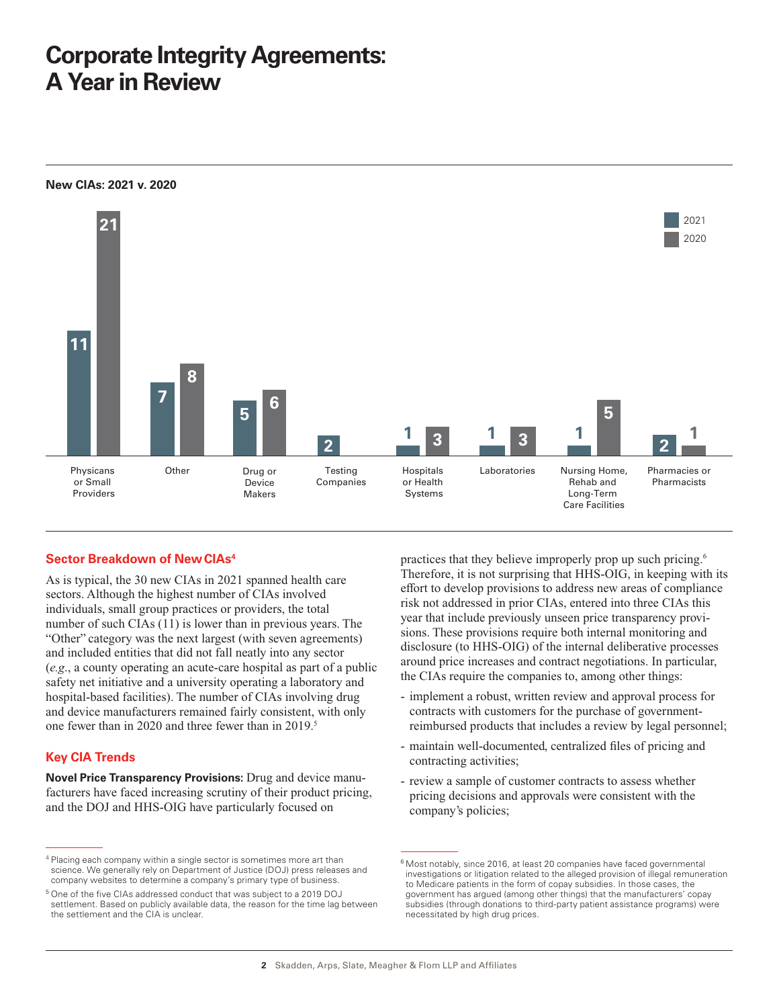

#### **Sector Breakdown of New CIAs<sup>4</sup>**

As is typical, the 30 new CIAs in 2021 spanned health care sectors. Although the highest number of CIAs involved individuals, small group practices or providers, the total number of such CIAs (11) is lower than in previous years. The "Other" category was the next largest (with seven agreements) and included entities that did not fall neatly into any sector (*e.g*., a county operating an acute-care hospital as part of a public safety net initiative and a university operating a laboratory and hospital-based facilities). The number of CIAs involving drug and device manufacturers remained fairly consistent, with only one fewer than in 2020 and three fewer than in 2019.<sup>5</sup>

#### **Key CIA Trends**

**Novel Price Transparency Provisions:** Drug and device manufacturers have faced increasing scrutiny of their product pricing, and the DOJ and HHS-OIG have particularly focused on

practices that they believe improperly prop up such pricing.6 Therefore, it is not surprising that HHS-OIG, in keeping with its effort to develop provisions to address new areas of compliance risk not addressed in prior CIAs, entered into three CIAs this year that include previously unseen price transparency provisions. These provisions require both internal monitoring and disclosure (to HHS-OIG) of the internal deliberative processes around price increases and contract negotiations. In particular, the CIAs require the companies to, among other things:

- implement a robust, written review and approval process for contracts with customers for the purchase of governmentreimbursed products that includes a review by legal personnel;
- maintain well-documented, centralized files of pricing and contracting activities;
- review a sample of customer contracts to assess whether pricing decisions and approvals were consistent with the company's policies;

<sup>&</sup>lt;sup>4</sup> Placing each company within a single sector is sometimes more art than science. We generally rely on Department of Justice (DOJ) press releases and company websites to determine a company's primary type of business.

<sup>5</sup> One of the five CIAs addressed conduct that was subject to a 2019 DOJ settlement. Based on publicly available data, the reason for the time lag between the settlement and the CIA is unclear.

 $6$  Most notably, since 2016, at least 20 companies have faced governmental investigations or litigation related to the alleged provision of illegal remuneration to Medicare patients in the form of copay subsidies. In those cases, the government has argued (among other things) that the manufacturers' copay subsidies (through donations to third-party patient assistance programs) were necessitated by high drug prices.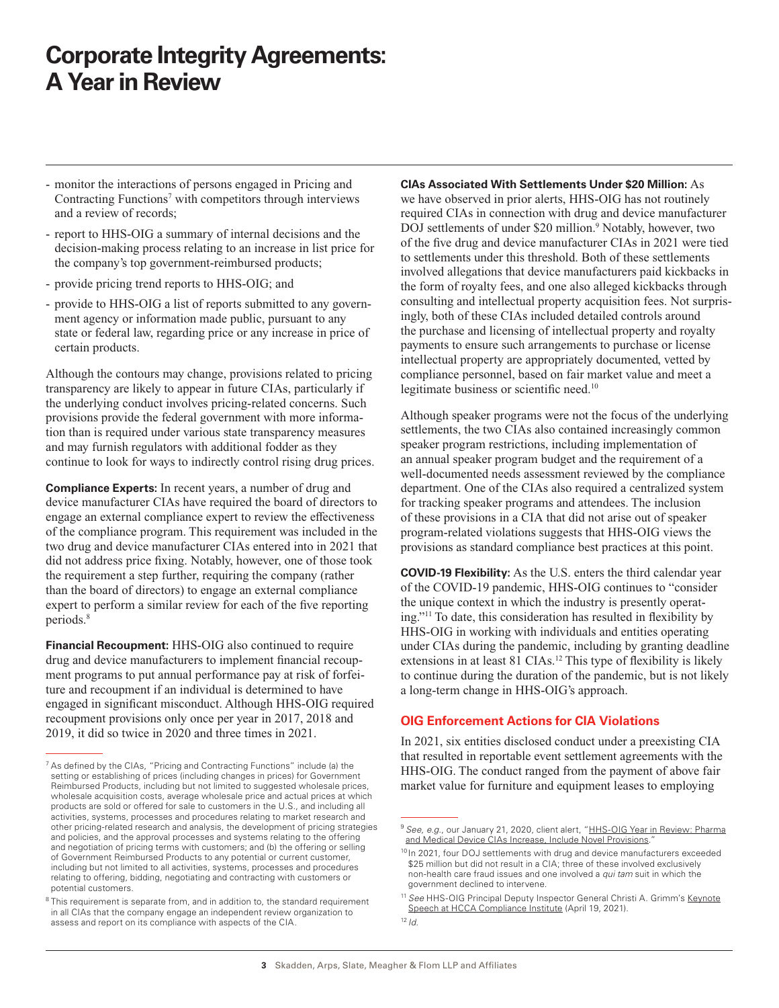- monitor the interactions of persons engaged in Pricing and Contracting Functions<sup>7</sup> with competitors through interviews and a review of records;
- report to HHS-OIG a summary of internal decisions and the decision-making process relating to an increase in list price for the company's top government-reimbursed products;
- provide pricing trend reports to HHS-OIG; and
- provide to HHS-OIG a list of reports submitted to any government agency or information made public, pursuant to any state or federal law, regarding price or any increase in price of certain products.

Although the contours may change, provisions related to pricing transparency are likely to appear in future CIAs, particularly if the underlying conduct involves pricing-related concerns. Such provisions provide the federal government with more information than is required under various state transparency measures and may furnish regulators with additional fodder as they continue to look for ways to indirectly control rising drug prices.

**Compliance Experts:** In recent years, a number of drug and device manufacturer CIAs have required the board of directors to engage an external compliance expert to review the effectiveness of the compliance program. This requirement was included in the two drug and device manufacturer CIAs entered into in 2021 that did not address price fixing. Notably, however, one of those took the requirement a step further, requiring the company (rather than the board of directors) to engage an external compliance expert to perform a similar review for each of the five reporting periods.8

**Financial Recoupment:** HHS-OIG also continued to require drug and device manufacturers to implement financial recoupment programs to put annual performance pay at risk of forfeiture and recoupment if an individual is determined to have engaged in significant misconduct. Although HHS-OIG required recoupment provisions only once per year in 2017, 2018 and 2019, it did so twice in 2020 and three times in 2021.

**CIAs Associated With Settlements Under \$20 Million:** As we have observed in prior alerts, HHS-OIG has not routinely required CIAs in connection with drug and device manufacturer DOJ settlements of under \$20 million.<sup>9</sup> Notably, however, two of the five drug and device manufacturer CIAs in 2021 were tied to settlements under this threshold. Both of these settlements involved allegations that device manufacturers paid kickbacks in the form of royalty fees, and one also alleged kickbacks through consulting and intellectual property acquisition fees. Not surprisingly, both of these CIAs included detailed controls around the purchase and licensing of intellectual property and royalty payments to ensure such arrangements to purchase or license intellectual property are appropriately documented, vetted by compliance personnel, based on fair market value and meet a legitimate business or scientific need.<sup>10</sup>

Although speaker programs were not the focus of the underlying settlements, the two CIAs also contained increasingly common speaker program restrictions, including implementation of an annual speaker program budget and the requirement of a well-documented needs assessment reviewed by the compliance department. One of the CIAs also required a centralized system for tracking speaker programs and attendees. The inclusion of these provisions in a CIA that did not arise out of speaker program-related violations suggests that HHS-OIG views the provisions as standard compliance best practices at this point.

**COVID-19 Flexibility:** As the U.S. enters the third calendar year of the COVID-19 pandemic, HHS-OIG continues to "consider the unique context in which the industry is presently operating."11 To date, this consideration has resulted in flexibility by HHS-OIG in working with individuals and entities operating under CIAs during the pandemic, including by granting deadline extensions in at least 81 CIAs.<sup>12</sup> This type of flexibility is likely to continue during the duration of the pandemic, but is not likely a long-term change in HHS-OIG's approach.

#### **OIG Enforcement Actions for CIA Violations**

In 2021, six entities disclosed conduct under a preexisting CIA that resulted in reportable event settlement agreements with the HHS-OIG. The conduct ranged from the payment of above fair market value for furniture and equipment leases to employing

 $7$  As defined by the CIAs, "Pricing and Contracting Functions" include (a) the setting or establishing of prices (including changes in prices) for Government Reimbursed Products, including but not limited to suggested wholesale prices, wholesale acquisition costs, average wholesale price and actual prices at which products are sold or offered for sale to customers in the U.S., and including all activities, systems, processes and procedures relating to market research and other pricing-related research and analysis, the development of pricing strategies and policies, and the approval processes and systems relating to the offering and negotiation of pricing terms with customers; and (b) the offering or selling of Government Reimbursed Products to any potential or current customer, including but not limited to all activities, systems, processes and procedures relating to offering, bidding, negotiating and contracting with customers or potential customers.

 $8$  This requirement is separate from, and in addition to, the standard requirement in all CIAs that the company engage an independent review organization to assess and report on its compliance with aspects of the CIA.

<sup>&</sup>lt;sup>9</sup> See, e.g., our January 21, 2020, client alert, "[HHS-OIG Year in Review: Pharma](https://www.skadden.com/insights/publications/2020/01/hhsoig-year-in-review) [and Medical Device CIAs Increase, Include Novel Provisions.](https://www.skadden.com/insights/publications/2020/01/hhsoig-year-in-review)

<sup>&</sup>lt;sup>10</sup> In 2021, four DOJ settlements with drug and device manufacturers exceeded \$25 million but did not result in a CIA; three of these involved exclusively non-health care fraud issues and one involved a *qui tam* suit in which the government declined to intervene.

<sup>&</sup>lt;sup>11</sup> See HHS-OIG Principal Deputy Inspector General Christi A. Grimm's [Keynote]( https://www.skadden.com/-/media/files/publications/2022/02/corporate-integrity-agreements-a-year-in-review/keynote-speech-at-hcca-compliance-institute.pdf) [Speech at HCCA Compliance Institute]( https://www.skadden.com/-/media/files/publications/2022/02/corporate-integrity-agreements-a-year-in-review/keynote-speech-at-hcca-compliance-institute.pdf) (April 19, 2021).

<sup>12</sup> *Id.*